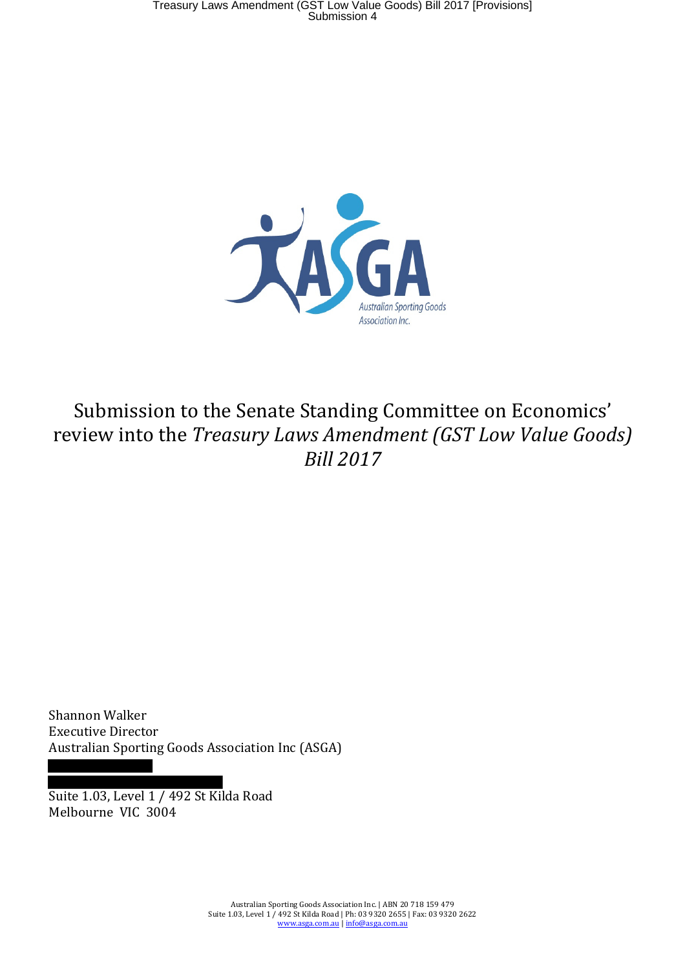

# Submission to the Senate Standing Committee on Economics' review into the *Treasury Laws Amendment (GST Low Value Goods) Bill 2017*

Shannon Walker Executive Director Australian Sporting Goods Association Inc (ASGA)

Suite 1.03, Level 1 / 492 St Kilda Road Melbourne VIC 3004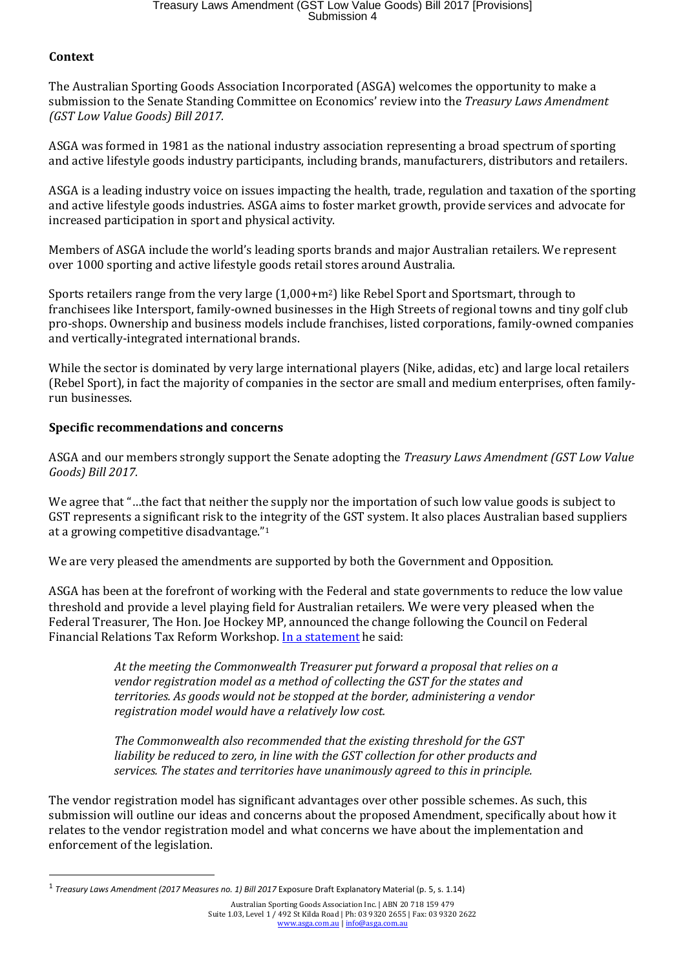# Treasury Laws Amendment (GST Low Value Goods) Bill 2017 [Provisions] Submission 4

# **Context**

l

The Australian Sporting Goods Association Incorporated (ASGA) welcomes the opportunity to make a submission to the Senate Standing Committee on Economics' review into the *Treasury Laws Amendment (GST Low Value Goods) Bill 2017.*

ASGA was formed in 1981 as the national industry association representing a broad spectrum of sporting and active lifestyle goods industry participants, including brands, manufacturers, distributors and retailers.

ASGA is a leading industry voice on issues impacting the health, trade, regulation and taxation of the sporting and active lifestyle goods industries. ASGA aims to foster market growth, provide services and advocate for increased participation in sport and physical activity.

Members of ASGA include the world's leading sports brands and major Australian retailers. We represent over 1000 sporting and active lifestyle goods retail stores around Australia.

Sports retailers range from the very large (1,000+m2) like Rebel Sport and Sportsmart, through to franchisees like Intersport, family-owned businesses in the High Streets of regional towns and tiny golf club pro-shops. Ownership and business models include franchises, listed corporations, family-owned companies and vertically-integrated international brands.

While the sector is dominated by very large international players (Nike, adidas, etc) and large local retailers (Rebel Sport), in fact the majority of companies in the sector are small and medium enterprises, often familyrun businesses.

## **Specific recommendations and concerns**

ASGA and our members strongly support the Senate adopting the *Treasury Laws Amendment (GST Low Value Goods) Bill 2017.*

We agree that "...the fact that neither the supply nor the importation of such low value goods is subject to GST represents a significant risk to the integrity of the GST system. It also places Australian based suppliers at a growing competitive disadvantage."<sup>1</sup>

We are very pleased the amendments are supported by both the Government and Opposition.

ASGA has been at the forefront of working with the Federal and state governments to reduce the low value threshold and provide a level playing field for Australian retailers. We were very pleased when the Federal Treasurer, The Hon. Joe Hockey MP, announced the change following the Council on Federal Financial Relations Tax Reform Workshop. In a statement he said:

> *At the meeting the Commonwealth Treasurer put forward a proposal that relies on a vendor registration model as a method of collecting the GST for the states and territories. As goods would not be stopped at the border, administering a vendor registration model would have a relatively low cost.*

*The Commonwealth also recommended that the existing threshold for the GST liability be reduced to zero, in line with the GST collection for other products and services. The states and territories have unanimously agreed to this in principle.* 

The vendor registration model has significant advantages over other possible schemes. As such, this submission will outline our ideas and concerns about the proposed Amendment, specifically about how it relates to the vendor registration model and what concerns we have about the implementation and enforcement of the legislation.

<sup>&</sup>lt;sup>1</sup> Treasury Laws Amendment (2017 Measures no. 1) Bill 2017 Exposure Draft Explanatory Material (p. 5, s. 1.14)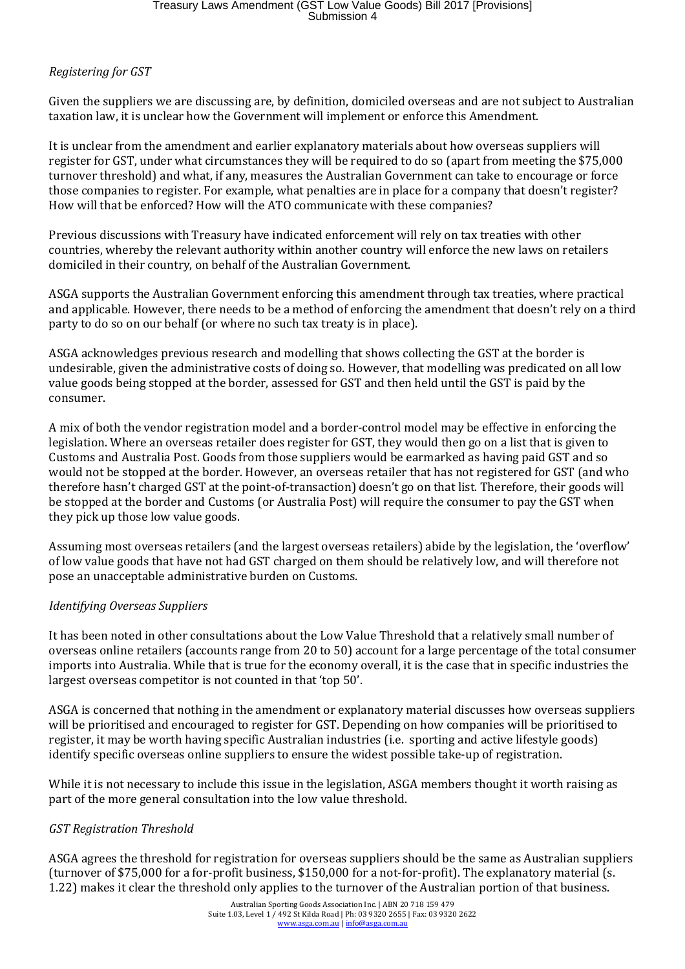# *Registering for GST*

Given the suppliers we are discussing are, by definition, domiciled overseas and are not subject to Australian taxation law, it is unclear how the Government will implement or enforce this Amendment.

It is unclear from the amendment and earlier explanatory materials about how overseas suppliers will register for GST, under what circumstances they will be required to do so (apart from meeting the \$75,000 turnover threshold) and what, if any, measures the Australian Government can take to encourage or force those companies to register. For example, what penalties are in place for a company that doesn't register? How will that be enforced? How will the ATO communicate with these companies?

Previous discussions with Treasury have indicated enforcement will rely on tax treaties with other countries, whereby the relevant authority within another country will enforce the new laws on retailers domiciled in their country, on behalf of the Australian Government.

ASGA supports the Australian Government enforcing this amendment through tax treaties, where practical and applicable. However, there needs to be a method of enforcing the amendment that doesn't rely on a third party to do so on our behalf (or where no such tax treaty is in place).

ASGA acknowledges previous research and modelling that shows collecting the GST at the border is undesirable, given the administrative costs of doing so. However, that modelling was predicated on all low value goods being stopped at the border, assessed for GST and then held until the GST is paid by the consumer.

A mix of both the vendor registration model and a border-control model may be effective in enforcing the legislation. Where an overseas retailer does register for GST, they would then go on a list that is given to Customs and Australia Post. Goods from those suppliers would be earmarked as having paid GST and so would not be stopped at the border. However, an overseas retailer that has not registered for GST (and who therefore hasn't charged GST at the point-of-transaction) doesn't go on that list. Therefore, their goods will be stopped at the border and Customs (or Australia Post) will require the consumer to pay the GST when they pick up those low value goods.

Assuming most overseas retailers (and the largest overseas retailers) abide by the legislation, the 'overflow' of low value goods that have not had GST charged on them should be relatively low, and will therefore not pose an unacceptable administrative burden on Customs.

#### *Identifying Overseas Suppliers*

It has been noted in other consultations about the Low Value Threshold that a relatively small number of overseas online retailers (accounts range from 20 to 50) account for a large percentage of the total consumer imports into Australia. While that is true for the economy overall, it is the case that in specific industries the largest overseas competitor is not counted in that 'top 50'.

ASGA is concerned that nothing in the amendment or explanatory material discusses how overseas suppliers will be prioritised and encouraged to register for GST. Depending on how companies will be prioritised to register, it may be worth having specific Australian industries (i.e. sporting and active lifestyle goods) identify specific overseas online suppliers to ensure the widest possible take-up of registration.

While it is not necessary to include this issue in the legislation, ASGA members thought it worth raising as part of the more general consultation into the low value threshold.

#### *GST Registration Threshold*

ASGA agrees the threshold for registration for overseas suppliers should be the same as Australian suppliers (turnover of \$75,000 for a for-profit business, \$150,000 for a not-for-profit). The explanatory material (s. 1.22) makes it clear the threshold only applies to the turnover of the Australian portion of that business.